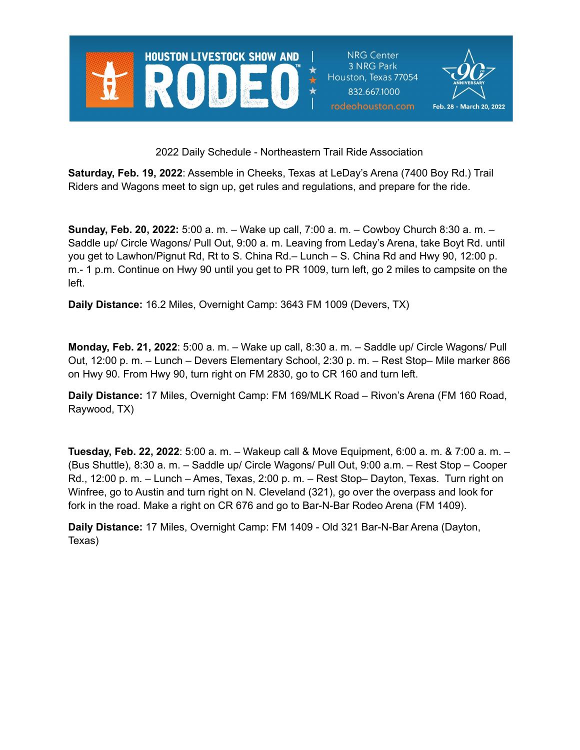

2022 Daily Schedule - Northeastern Trail Ride Association

**Saturday, Feb. 19, 2022**: Assemble in Cheeks, Texas at LeDay's Arena (7400 Boy Rd.) Trail Riders and Wagons meet to sign up, get rules and regulations, and prepare for the ride.

**Sunday, Feb. 20, 2022:** 5:00 a. m. – Wake up call, 7:00 a. m. – Cowboy Church 8:30 a. m. – Saddle up/ Circle Wagons/ Pull Out, 9:00 a. m. Leaving from Leday's Arena, take Boyt Rd. until you get to Lawhon/Pignut Rd, Rt to S. China Rd.– Lunch – S. China Rd and Hwy 90, 12:00 p. m.- 1 p.m. Continue on Hwy 90 until you get to PR 1009, turn left, go 2 miles to campsite on the left.

**Daily Distance:** 16.2 Miles, Overnight Camp: 3643 FM 1009 (Devers, TX)

**Monday, Feb. 21, 2022**: 5:00 a. m. – Wake up call, 8:30 a. m. – Saddle up/ Circle Wagons/ Pull Out, 12:00 p. m. – Lunch – Devers Elementary School, 2:30 p. m. – Rest Stop– Mile marker 866 on Hwy 90. From Hwy 90, turn right on FM 2830, go to CR 160 and turn left.

**Daily Distance:** 17 Miles, Overnight Camp: FM 169/MLK Road – Rivon's Arena (FM 160 Road, Raywood, TX)

**Tuesday, Feb. 22, 2022**: 5:00 a. m. – Wakeup call & Move Equipment, 6:00 a. m. & 7:00 a. m. – (Bus Shuttle), 8:30 a. m. – Saddle up/ Circle Wagons/ Pull Out, 9:00 a.m. – Rest Stop – Cooper Rd., 12:00 p. m. – Lunch – Ames, Texas, 2:00 p. m. – Rest Stop– Dayton, Texas. Turn right on Winfree, go to Austin and turn right on N. Cleveland (321), go over the overpass and look for fork in the road. Make a right on CR 676 and go to Bar-N-Bar Rodeo Arena (FM 1409).

**Daily Distance:** 17 Miles, Overnight Camp: FM 1409 - Old 321 Bar-N-Bar Arena (Dayton, Texas)